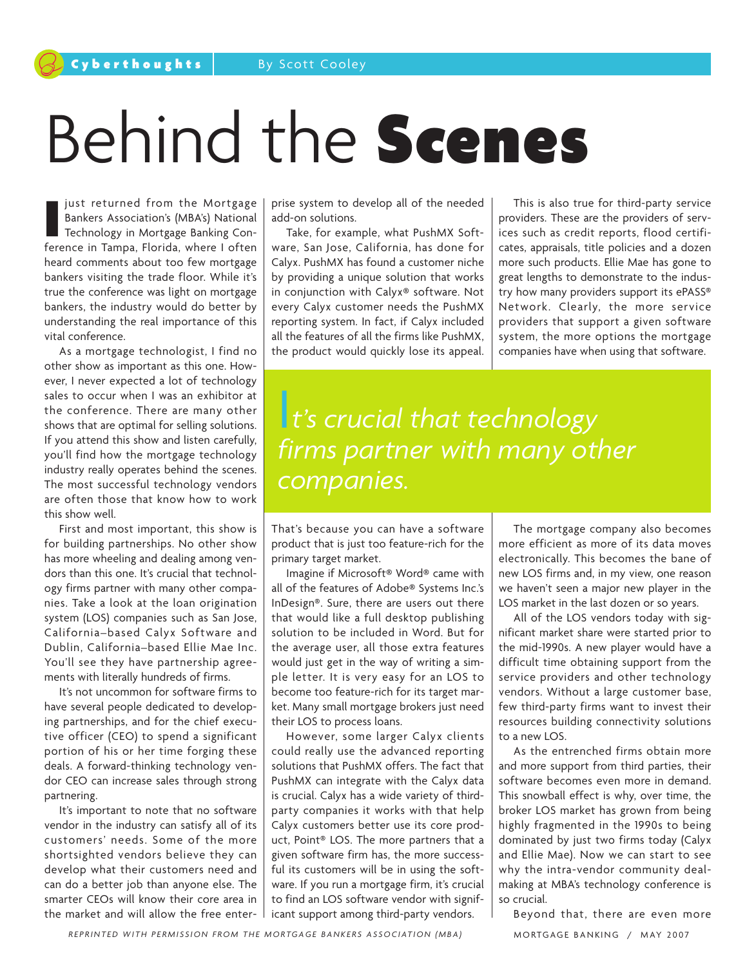## Behind the Scenes

**I** just returned from the Mortgage<br>Bankers Association's (MBA's) National<br>Technology in Mortgage Banking Con-<br>ference in Tampa, Florida, where I often just returned from the Mortgage Bankers Association's (MBA's) National Technology in Mortgage Banking Conheard comments about too few mortgage bankers visiting the trade floor. While it's true the conference was light on mortgage bankers, the industry would do better by understanding the real importance of this vital conference.

As a mortgage technologist, I find no other show as important as this one. However, I never expected a lot of technology sales to occur when I was an exhibitor at the conference. There are many other shows that are optimal for selling solutions. If you attend this show and listen carefully, you'll find how the mortgage technology industry really operates behind the scenes. The most successful technology vendors are often those that know how to work this show well.

First and most important, this show is for building partnerships. No other show has more wheeling and dealing among vendors than this one. It's crucial that technology firms partner with many other companies. Take a look at the loan origination system (LOS) companies such as San Jose, California–based Calyx Software and Dublin, California–based Ellie Mae Inc. You'll see they have partnership agreements with literally hundreds of firms.

It's not uncommon for software firms to have several people dedicated to developing partnerships, and for the chief executive officer (CEO) to spend a significant portion of his or her time forging these deals. A forward-thinking technology vendor CEO can increase sales through strong partnering.

It's important to note that no software vendor in the industry can satisfy all of its customers' needs. Some of the more shortsighted vendors believe they can develop what their customers need and can do a better job than anyone else. The smarter CEOs will know their core area in the market and will allow the free enterprise system to develop all of the needed add-on solutions.

Take, for example, what PushMX Software, San Jose, California, has done for Calyx. PushMX has found a customer niche by providing a unique solution that works in conjunction with Calyx® software. Not every Calyx customer needs the PushMX reporting system. In fact, if Calyx included all the features of all the firms like PushMX, the product would quickly lose its appeal.

This is also true for third-party service providers. These are the providers of services such as credit reports, flood certificates, appraisals, title policies and a dozen more such products. Ellie Mae has gone to great lengths to demonstrate to the industry how many providers support its ePASS® Network. Clearly, the more service providers that support a given software system, the more options the mortgage companies have when using that software.

I*t's crucial that technology firms partner with many other companies.*

That's because you can have a software product that is just too feature-rich for the primary target market.

Imagine if Microsoft® Word® came with all of the features of Adobe® Systems Inc.'s InDesign®. Sure, there are users out there that would like a full desktop publishing solution to be included in Word. But for the average user, all those extra features would just get in the way of writing a simple letter. It is very easy for an LOS to become too feature-rich for its target market. Many small mortgage brokers just need their LOS to process loans.

However, some larger Calyx clients could really use the advanced reporting solutions that PushMX offers. The fact that PushMX can integrate with the Calyx data is crucial. Calyx has a wide variety of thirdparty companies it works with that help Calyx customers better use its core product, Point® LOS. The more partners that a given software firm has, the more successful its customers will be in using the software. If you run a mortgage firm, it's crucial to find an LOS software vendor with significant support among third-party vendors.

The mortgage company also becomes more efficient as more of its data moves electronically. This becomes the bane of new LOS firms and, in my view, one reason we haven't seen a major new player in the LOS market in the last dozen or so years.

All of the LOS vendors today with significant market share were started prior to the mid-1990s. A new player would have a difficult time obtaining support from the service providers and other technology vendors. Without a large customer base, few third-party firms want to invest their resources building connectivity solutions to a new LOS.

As the entrenched firms obtain more and more support from third parties, their software becomes even more in demand. This snowball effect is why, over time, the broker LOS market has grown from being highly fragmented in the 1990s to being dominated by just two firms today (Calyx and Ellie Mae). Now we can start to see why the intra-vendor community dealmaking at MBA's technology conference is so crucial.

Beyond that, there are even more

REPRINTED WITH PERMISSION FROM THE MORTGAGE BANKERS ASSOCIATION (MBA) MORTGAGE BANKING / MAY 2007